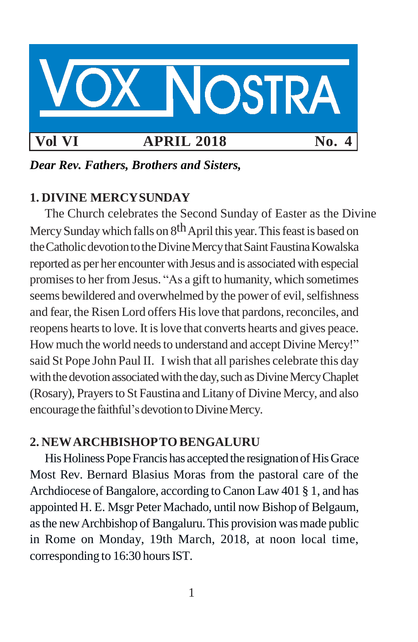

*Dear Rev. Fathers, Brothers and Sisters,*

# **1. DIVINE MERCYSUNDAY**

The Church celebrates the Second Sunday of Easter as the Divine Mercy Sunday which falls on 8<sup>th</sup> April this year. This feast is based on the Catholic devotion to the Divine Mercy that Saint Faustina Kowalska reported as per her encounter with Jesus and is associatedwith especial promisesto her from Jesus. "As a gift to humanity, which sometimes seems bewildered and overwhelmed by the power of evil, selfishness and fear, the Risen Lord offers His love that pardons, reconciles, and reopens hearts to love. It is love that converts hearts and gives peace. How much the world needs to understand and accept Divine Mercy!" said St Pope John Paul II. I wish that all parishes celebrate this day with the devotion associated with the day, such as Divine Mercy Chaplet (Rosary), Prayers to St Faustina and Litany of Divine Mercy, and also encourage the faithful's devotion to Divine Mercy.

# **2. NEWARCHBISHOPTOBENGALURU**

His Holiness Pope Francis has accepted the resignation of His Grace Most Rev. Bernard Blasius Moras from the pastoral care of the Archdiocese of Bangalore, according to Canon Law 401 § 1, and has appointed H. E. Msgr Peter Machado, until now Bishop of Belgaum, as the new Archbishop of Bangaluru. This provision was made public in Rome on Monday, 19th March, 2018, at noon local time, corresponding to 16:30 hours IST.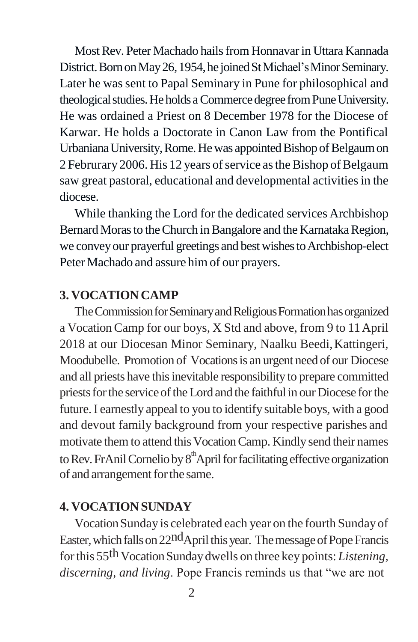Most Rev. Peter Machado hails from Honnavar in Uttara Kannada District. Born on May 26, 1954, he joined St Michael's Minor Seminary. Later he was sent to Papal Seminary in Pune for philosophical and theological studies. He holds a Commerce degree from Pune University. He was ordained a Priest on 8 December 1978 for the Diocese of Karwar. He holds a Doctorate in Canon Law from the Pontifical Urbaniana University, Rome. He was appointed Bishop of Belgaum on 2 Februrary 2006. His 12 years of service as the Bishop of Belgaum saw great pastoral, educational and developmental activities in the diocese.

While thanking the Lord for the dedicated services Archbishop Bernard Moras to the Church in Bangalore and the Karnataka Region, we convey our prayerful greetings and best wishes to Archbishop-elect Peter Machado and assure him of our prayers.

# **3. VOCATION CAMP**

The Commission for Seminary and Religious Formation has organized a Vocation Camp for our boys, X Std and above, from 9 to 11April 2018 at our Diocesan Minor Seminary, Naalku Beedi,Kattingeri, Moodubelle. Promotion of Vocationsis an urgent need of our Diocese and all priests have this inevitable responsibility to prepare committed priests for the service of the Lord and the faithful in our Diocese for the future.I earnestly appeal to you to identify suitable boys, with a good and devout family background from your respective parishes and motivate them to attend this Vocation Camp. Kindly send their names to Rev. FrAnil Cornelio by 8<sup>th</sup>April for facilitating effective organization of and arrangement for the same.

#### **4. VOCATION SUNDAY**

VocationSunday is celebrated each year on the fourth Sunday of Easter, which falls on 22<sup>nd</sup>April this year. The message of Pope Francis for this 55<sup>th</sup> Vocation Sunday dwells on three key points: *Listening*, *discerning, and living*. Pope Francis reminds us that "we are not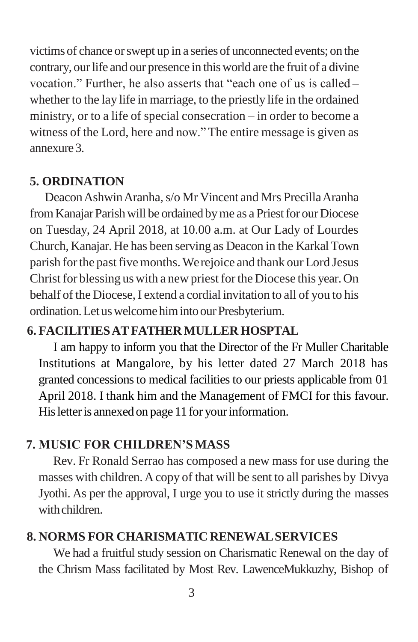victims of chance orswept up in a series of unconnected events; on the contrary, our life and our presence in this world are the fruit of a divine vocation." Further, he also asserts that "each one of us is called – whether to the lay life in marriage, to the priestly life in the ordained ministry, or to a life of special consecration – in order to become a witness of the Lord, here and now." The entire message is given as annexure3.

# **5. ORDINATION**

Deacon Ashwin Aranha, s/o Mr Vincent and Mrs Precilla Aranha from Kanajar Parish will be ordained by me as a Priest for our Diocese on Tuesday, 24 April 2018, at 10.00 a.m. at Our Lady of Lourdes Church, Kanajar. He has been serving as Deacon in the Karkal Town parish forthe pastfivemonths.Werejoice and thank our Lord Jesus Christ for blessing us with a new priest for the Diocese this year. On behalf of the Diocese, I extend a cordial invitation to all of you to his ordination. Let us welcome him into our Presbyterium.

# **6. FACILITIESATFATHERMULLER HOSPTAL**

I am happy to inform you that the Director of the Fr Muller Charitable Institutions at Mangalore, by his letter dated 27 March 2018 has granted concessions to medical facilities to our priests applicable from 01 April 2018. I thank him and the Management of FMCI for this favour. His letter is annexed on page 11 for your information.

## **7. MUSIC FOR CHILDREN'S MASS**

Rev. Fr Ronald Serrao has composed a new mass for use during the masses with children.Acopy of that will be sent to all parishes by Divya Jyothi. As per the approval, I urge you to use it strictly during the masses withchildren.

#### **8. NORMS FOR CHARISMATIC RENEWALSERVICES**

We had a fruitful study session on Charismatic Renewal on the day of the Chrism Mass facilitated by Most Rev. LawenceMukkuzhy, Bishop of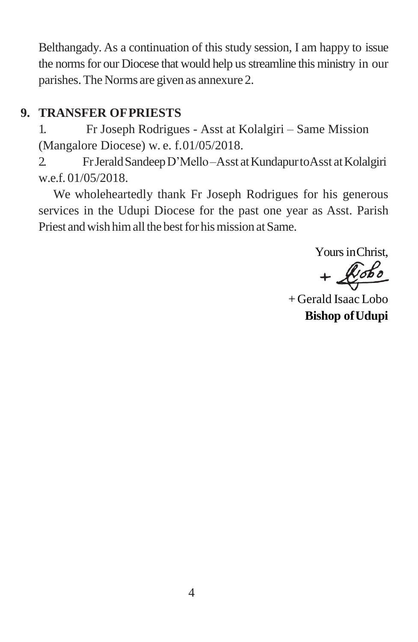Belthangady. As a continuation of this study session, I am happy to issue the norms for our Diocese that would help us streamline this ministry in our parishes.The Norms are given as annexure 2.

# **9. TRANSFER OFPRIESTS**

1. Fr Joseph Rodrigues - Asst at Kolalgiri – Same Mission (Mangalore Diocese) w. e. f.01/05/2018.

2. FrJeraldSandeepD'Mello–Asst atKundapurtoAsst atKolalgiri w.e.f. 01/05/2018.

We wholeheartedly thank Fr Joseph Rodrigues for his generous services in the Udupi Diocese for the past one year as Asst. Parish Priest and wish him all the best for his mission at Same.

Yours inChrist,

 $+$  $x$ obo

+ Gerald Isaac Lobo **Bishop ofUdupi**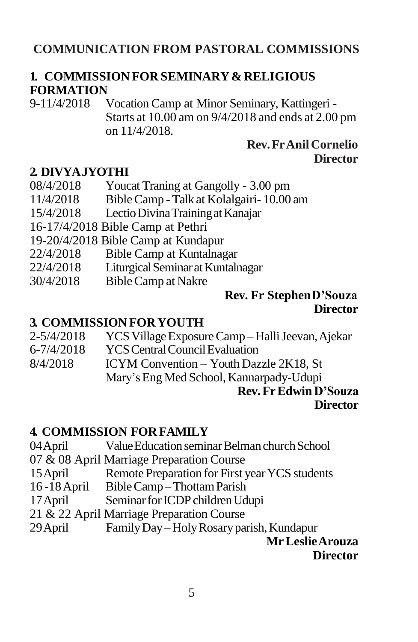# **COMMUNICATION FROM PASTORAL COMMISSIONS**

# **1. COMMISSION FOR SEMINARY& RELIGIOUS FORMATION**

9-11/4/2018 Vocation Camp at Minor Seminary, Kattingeri - Starts at 10.00 am on 9/4/2018 and ends at 2.00 pm on 11/4/2018.

## **Rev.FrAnilCornelio Director**

## **2. DIVYAJYOTHI**

- 08/4/2018 Youcat Traning at Gangolly 3.00 pm
- 11/4/2018 BibleCamp Talk at Kolalgairi- 10.00 am
- 15/4/2018 LectioDivinaTrainingatKanajar
- 16-17/4/2018 Bible Camp at Pethri
- 19-20/4/2018 Bible Camp at Kundapur
- 22/4/2018 Bible Camp at Kuntalnagar
- 22/4/2018 LiturgicalSeminaratKuntalnagar
- 30/4/2018 BibleCamp at Nakre

#### **Rev. Fr StephenD'Souza Director**

#### **3. COMMISSION FORYOUTH**

| $2 - \frac{5}{4} \cdot 2018$ | YCS Village Exposure Camp – Halli Jeevan, Ajekar |
|------------------------------|--------------------------------------------------|
| 6-7/4/2018                   | <b>YCS Central Council Evaluation</b>            |
| 8/4/2018                     | ICYM Convention - Youth Dazzle 2K18, St          |
|                              | Mary's Eng Med School, Kannarpady-Udupi          |

#### **Rev.FrEdwin D'Souza Director**

## **4. COMMISSION FOR FAMILY**

- 04 April Value Education seminar Belman church School
- 07 & 08 April Marriage Preparation Course
- 15 April Remote Preparation for First year YCS students
- 16 -18April BibleCamp –ThottamParish
- 17 April Seminar for ICDP children Udupi
- 21 & 22 April Marriage Preparation Course
- 29April FamilyDay– HolyRosaryparish,Kundapur

**MrLeslieArouza**

**Director**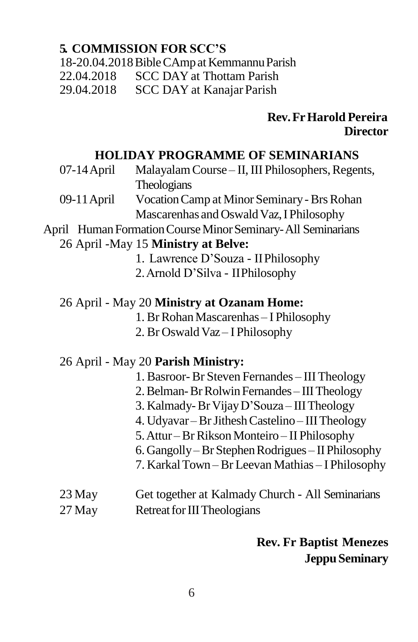# **5. COMMISSION FOR SCC'S**

18-20.04.2018BibleCAmpatKemmannuParish

22.04.2018 SCC DAY at Thottam Parish

29.04.2018 SCC DAY at KanajarParish

# **Rev.FrHarold Pereira Director**

# **HOLIDAY PROGRAMME OF SEMINARIANS**

- 07-14 April Malayalam Course II, III Philosophers, Regents, Theologians
- 09-11 April Vocation Camp at Minor Seminary Brs Rohan Mascarenhas and Oswald Vaz, I Philosophy

# April Human Formation Course Minor Seminary-All Seminarians

# 26 April -May 15 **Ministry at Belve:**

- 1. Lawrence D'Souza IIPhilosophy
- 2.Arnold D'Silva IIPhilosophy

# 26 April - May 20 **Ministry at Ozanam Home:**

- 1. Br Rohan Mascarenhas I Philosophy
- 2. Br Oswald Vaz I Philosophy

## 26 April - May 20 **Parish Ministry:**

- 1. Basroor-Br Steven Fernandes III Theology
- 2.Belman-BrRolwinFernandes IIITheology
- 3. Kalmady-Br VijayD'Souza IIITheology
- 4. Udyavar –BrJitheshCastelino IIITheology
- 5.Attur –BrRiksonMonteiro II Philosophy
- 6.Gangolly–BrStephenRodrigues IIPhilosophy
- 7. KarkalTown Br Leevan Mathias I Philosophy
- 23 May Get together at Kalmady Church All Seminarians 27 May Retreat for III Theologians

# **Rev. Fr Baptist Menezes JeppuSeminary**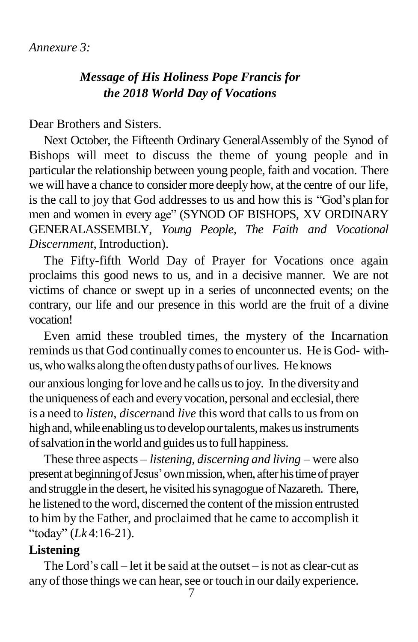# *Message of His Holiness Pope Francis for the 2018 World Day of Vocations*

Dear Brothers and Sisters.

Next October, the Fifteenth Ordinary GeneralAssembly of the Synod of Bishops will meet to discuss the theme of young people and in particular the relationship between young people, faith and vocation. There we will have a chance to consider more deeply how, at the centre of our life, is the call to joy that God addresses to us and how this is "God's plan for men and women in every age" (SYNOD OF BISHOPS, XV ORDINARY GENERALASSEMBLY, *Young People, The Faith and Vocational Discernment*, Introduction).

The Fifty-fifth World Day of Prayer for Vocations once again proclaims this good news to us, and in a decisive manner. We are not victims of chance or swept up in a series of unconnected events; on the contrary, our life and our presence in this world are the fruit of a divine vocation!

Even amid these troubled times, the mystery of the Incarnation reminds us that God continually comes to encounter us. He is God- withus, who walks along the often dusty paths of our lives. He knows

our anxiouslonging forlove and he calls usto joy. In the diversityand the uniqueness of each and every vocation, personal and ecclesial, there is a need to *listen*, *discernand live* this word that calls to us from on high and, while enabling us to develop our talents, makes us instruments of salvation in the world and guides us to full happiness.

These three aspects – *listening, discerning and living* – were also present at beginning of Jesus' own mission, when, after his time of prayer and struggle in the desert, he visited his synagogue of Nazareth. There, he listened to the word, discerned the content of the mission entrusted to him by the Father, and proclaimed that he came to accomplish it "today" (*Lk* 4:16-21).

### **Listening**

The Lord's call – let it be said at the outset – is not as clear-cut as any of those things we can hear, see or touch in our daily experience.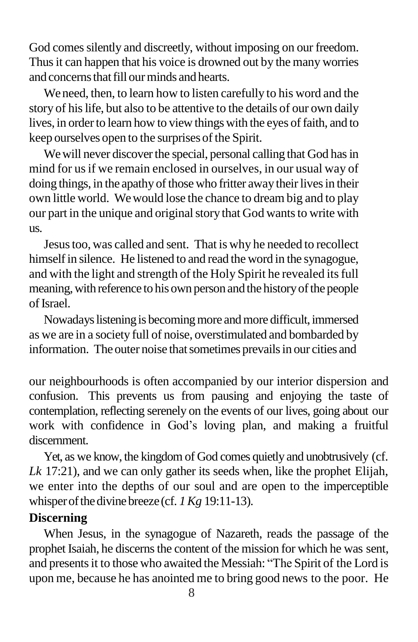God comes silently and discreetly, without imposing on our freedom. Thus it can happen that his voice is drowned out by the many worries and concerns that fill our minds and hearts.

We need, then, to learn how to listen carefully to his word and the story of his life, but also to be attentive to the details of our own daily lives, in order to learn how to view things with the eyes of faith, and to keep ourselves open to the surprises of the Spirit.

We will never discover the special, personal calling that God has in mind for usif we remain enclosed in ourselves, in our usual way of doing things, in the apathy of those who fritter away their lives in their own little world. Wewould lose the chance to dream big and to play our part in the unique and original story that God wants to write with us.

Jesustoo, was called and sent. That is why he needed to recollect himself in silence. He listened to and read the word in the synagogue, and with the light and strength of the Holy Spirit he revealed itsfull meaning, with reference to his own person and the history of the people ofIsrael.

Nowadays listening is becoming more and more difficult, immersed as we are in a society full of noise, overstimulated and bombarded by information. The outer noise that sometimes prevails in our cities and

our neighbourhoods is often accompanied by our interior dispersion and confusion. This prevents us from pausing and enjoying the taste of contemplation, reflecting serenely on the events of our lives, going about our work with confidence in God's loving plan, and making a fruitful discernment.

Yet, as we know, the kingdom of God comes quietly and unobtrusively (cf. *Lk* 17:21), and we can only gather its seeds when, like the prophet Elijah, we enter into the depths of our soul and are open to the imperceptible whisper of the divine breeze (cf. *1 Kg* 19:11-13).

## **Discerning**

When Jesus, in the synagogue of Nazareth, reads the passage of the prophet Isaiah, he discerns the content of the mission for which he was sent, and presents it to those who awaited the Messiah: "The Spirit of the Lord is upon me, because he has anointed me to bring good news to the poor. He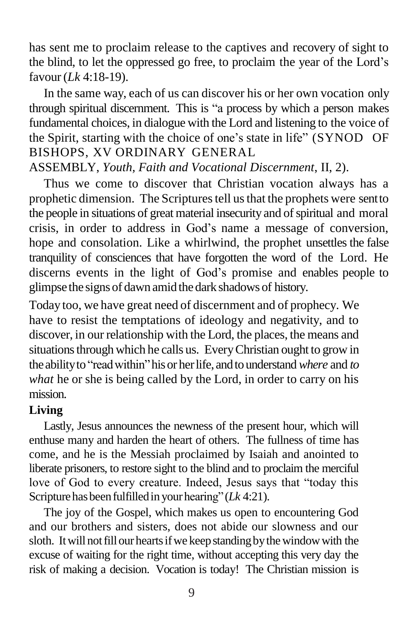has sent me to proclaim release to the captives and recovery of sight to the blind, to let the oppressed go free, to proclaim the year of the Lord's favour(*Lk* 4:18-19).

In the same way, each of us can discover his or her own vocation only through spiritual discernment. This is "a process by which a person makes fundamental choices, in dialogue with the Lord and listening to the voice of the Spirit, starting with the choice of one's state in life" (SYNOD OF BISHOPS, XV ORDINARY GENERAL

ASSEMBLY, *Youth, Faith and Vocational Discernment*, II, 2).

Thus we come to discover that Christian vocation always has a prophetic dimension. The Scriptures tell us that the prophets were sent to the people in situations of great material insecurity and of spiritual and moral crisis, in order to address in God's name a message of conversion, hope and consolation. Like a whirlwind, the prophet unsettles the false tranquility of consciences that have forgotten the word of the Lord. He discerns events in the light of God's promise and enables people to glimpse the signs of dawn amid the dark shadows of history.

Today too, we have great need of discernment and of prophecy. We have to resist the temptations of ideology and negativity, and to discover, in our relationship with the Lord, the places, the means and situationsthrough which he calls us. EveryChristian ought to grow in theabilityto "readwithin"hisor herlife, andtounderstand *where* and *to what* he or she is being called by the Lord, in order to carry on his mission.

## **Living**

Lastly, Jesus announces the newness of the present hour, which will enthuse many and harden the heart of others. The fullness of time has come, and he is the Messiah proclaimed by Isaiah and anointed to liberate prisoners, to restore sight to the blind and to proclaim the merciful love of God to every creature. Indeed, Jesus says that "today this Scripturehasbeenfulfilledin yourhearing"(*Lk* 4:21).

The joy of the Gospel, which makes us open to encountering God and our brothers and sisters, does not abide our slowness and our sloth. It will not fill our hearts if we keep standing by the window with the excuse of waiting for the right time, without accepting this very day the risk of making a decision. Vocation is today! The Christian mission is